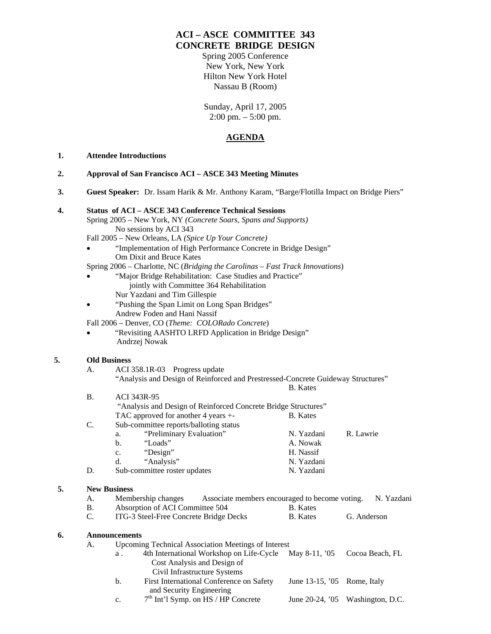# **ACI – ASCE COMMITTEE 343 CONCRETE BRIDGE DESIGN**

Spring 2005 Conference New York, New York Hilton New York Hotel Nassau B (Room)

Sunday, April 17, 2005 2:00 pm. – 5:00 pm.

### **AGENDA**

#### **1. Attendee Introductions**

- **2. Approval of San Francisco ACI ASCE 343 Meeting Minutes**
- **3. Guest Speaker:** Dr. Issam Harik & Mr. Anthony Karam, "Barge/Flotilla Impact on Bridge Piers"

#### **4. Status of ACI – ASCE 343 Conference Technical Sessions**

- Spring 2005 New York, NY *(Concrete Soars, Spans and Supports)* No sessions by ACI 343
	- Fall 2005 New Orleans, LA *(Spice Up Your Concrete)*
	- "Implementation of High Performance Concrete in Bridge Design" Om Dixit and Bruce Kates
	- Spring 2006 Charlotte, NC (*Bridging the Carolinas Fast Track Innovations*)
		- "Major Bridge Rehabilitation: Case Studies and Practice" jointly with Committee 364 Rehabilitation Nur Yazdani and Tim Gillespie
	- "Pushing the Span Limit on Long Span Bridges" Andrew Foden and Hani Nassif

Fall 2006 – Denver, CO (*Theme: COLORado Concrete*)

• "Revisiting AASHTO LRFD Application in Bridge Design" Andrzej Nowak

#### **5. Old Business**

- A. ACI 358.1R-03 Progress update "Analysis and Design of Reinforced and Prestressed-Concrete Guideway Structures" B. Kates B. ACI 343R-95
- "Analysis and Design of Reinforced Concrete Bridge Structures" TAC approved for another 4 years +- B. Kates C. Sub-committee reports/balloting status a. "Preliminary Evaluation" N. Yazdani R. Lawrie b. "Loads" A. Nowak c. "Design" H. Nassif d. "Analysis" N. Yazdani D. Sub-committee roster updates N. Yazdani **5. New Business**

## A. Membership changes Associate members encouraged to become voting. N. Yazdani B. Absorption of ACI Committee 504 B. Kates C. ITG-3 Steel-Free Concrete Bridge Decks B. Kates G. Anderson

#### **6. Announcements**

- A. Upcoming Technical Association Meetings of Interest
	- a . 4th International Workshop on Life-Cycle May 8-11, '05 Cocoa Beach, FL Cost Analysis and Design of Civil Infrastructure Systems
	- b. First International Conference on Safety June 13-15, '05 Rome, Italy and Security Engineering c.  $7<sup>th</sup> Int'1 Symp. on HS / HP Concrete$  June 20-24, '05 Washington, D.C.